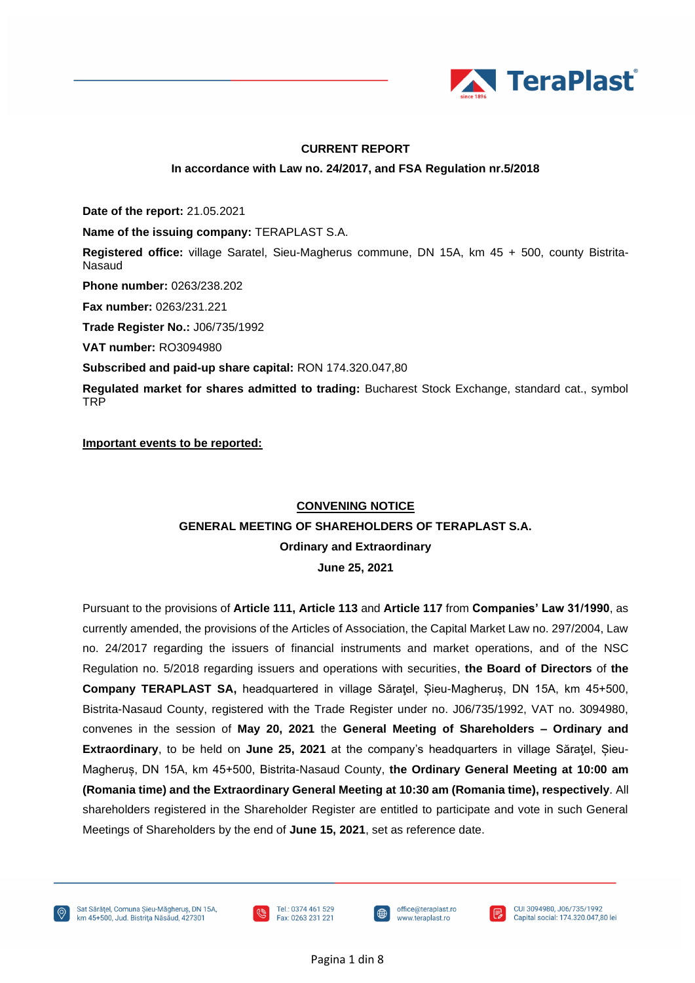

### **CURRENT REPORT**

#### **In accordance with Law no. 24/2017, and FSA Regulation nr.5/2018**

**Date of the report:** 21.05.2021

**Name of the issuing company:** TERAPLAST S.A.

**Registered office:** village Saratel, Sieu-Magherus commune, DN 15A, km 45 + 500, county Bistrita-Nasaud

**Phone number:** 0263/238.202

**Fax number:** 0263/231.221

**Trade Register No.:** J06/735/1992

**VAT number:** RO3094980

**Subscribed and paid-up share capital:** RON 174.320.047,80

**Regulated market for shares admitted to trading:** Bucharest Stock Exchange, standard cat., symbol TRP

**Important events to be reported:**

### **CONVENING NOTICE**

### **GENERAL MEETING OF SHAREHOLDERS OF TERAPLAST S.A.**

**Ordinary and Extraordinary**

**June 25, 2021**

Pursuant to the provisions of **Article 111, Article 113** and **Article 117** from **Companies' Law 31/1990**, as currently amended, the provisions of the Articles of Association, the Capital Market Law no. 297/2004, Law no. 24/2017 regarding the issuers of financial instruments and market operations, and of the NSC Regulation no. 5/2018 regarding issuers and operations with securities, **the Board of Directors** of **the Company TERAPLAST SA,** headquartered in village Săraţel, Șieu-Magheruș, DN 15A, km 45+500, Bistrita-Nasaud County, registered with the Trade Register under no. J06/735/1992, VAT no. 3094980, convenes in the session of **May 20, 2021** the **General Meeting of Shareholders – Ordinary and Extraordinary**, to be held on **June 25, 2021** at the company's headquarters in village Săratel, Sieu-Magheruș, DN 15A, km 45+500, Bistrita-Nasaud County, **the Ordinary General Meeting at 10:00 am (Romania time) and the Extraordinary General Meeting at 10:30 am (Romania time), respectively**. All shareholders registered in the Shareholder Register are entitled to participate and vote in such General Meetings of Shareholders by the end of **June 15, 2021**, set as reference date.





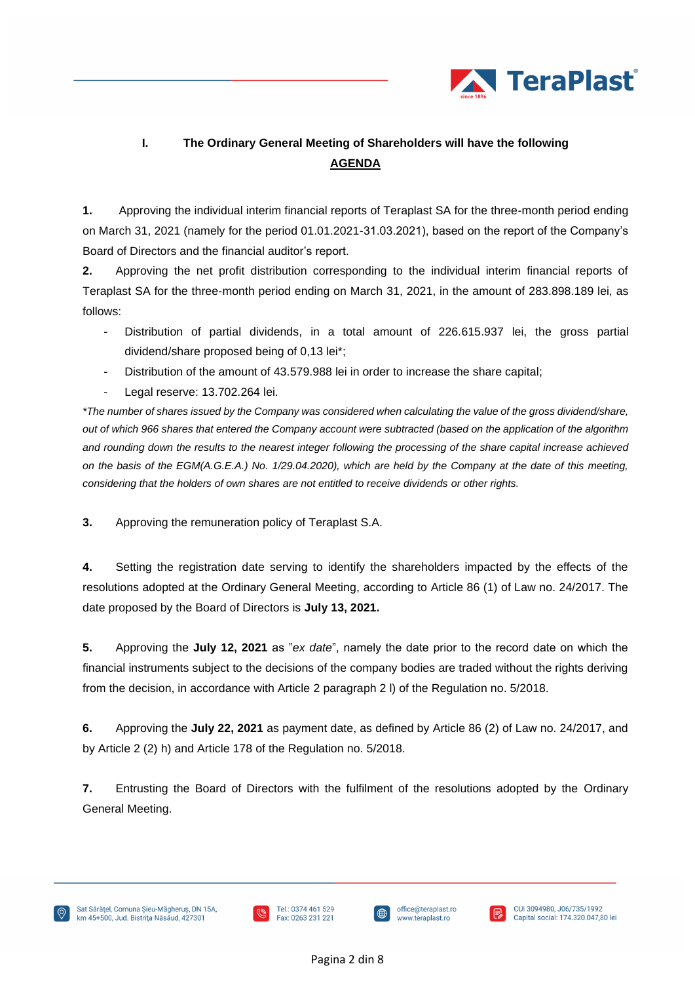

# **I. The Ordinary General Meeting of Shareholders will have the following AGENDA**

**1.** Approving the individual interim financial reports of Teraplast SA for the three-month period ending on March 31, 2021 (namely for the period 01.01.2021-31.03.2021), based on the report of the Company's Board of Directors and the financial auditor's report.

**2.** Approving the net profit distribution corresponding to the individual interim financial reports of Teraplast SA for the three-month period ending on March 31, 2021, in the amount of 283.898.189 lei, as follows:

- Distribution of partial dividends, in a total amount of 226.615.937 lei, the gross partial dividend/share proposed being of 0,13 lei\*;
- Distribution of the amount of 43.579.988 lei in order to increase the share capital;
- Legal reserve: 13.702.264 lei.

*\*The number of shares issued by the Company was considered when calculating the value of the gross dividend/share, out of which 966 shares that entered the Company account were subtracted (based on the application of the algorithm and rounding down the results to the nearest integer following the processing of the share capital increase achieved on the basis of the EGM(A.G.E.A.) No. 1/29.04.2020), which are held by the Company at the date of this meeting, considering that the holders of own shares are not entitled to receive dividends or other rights.*

**3.** Approving the remuneration policy of Teraplast S.A.

**4.** Setting the registration date serving to identify the shareholders impacted by the effects of the resolutions adopted at the Ordinary General Meeting, according to Article 86 (1) of Law no. 24/2017. The date proposed by the Board of Directors is **July 13, 2021.**

**5.** Approving the **July 12, 2021** as "*ex date*", namely the date prior to the record date on which the financial instruments subject to the decisions of the company bodies are traded without the rights deriving from the decision, in accordance with Article 2 paragraph 2 l) of the Regulation no. 5/2018.

**6.** Approving the **July 22, 2021** as payment date, as defined by Article 86 (2) of Law no. 24/2017, and by Article 2 (2) h) and Article 178 of the Regulation no. 5/2018.

**7.** Entrusting the Board of Directors with the fulfilment of the resolutions adopted by the Ordinary General Meeting.





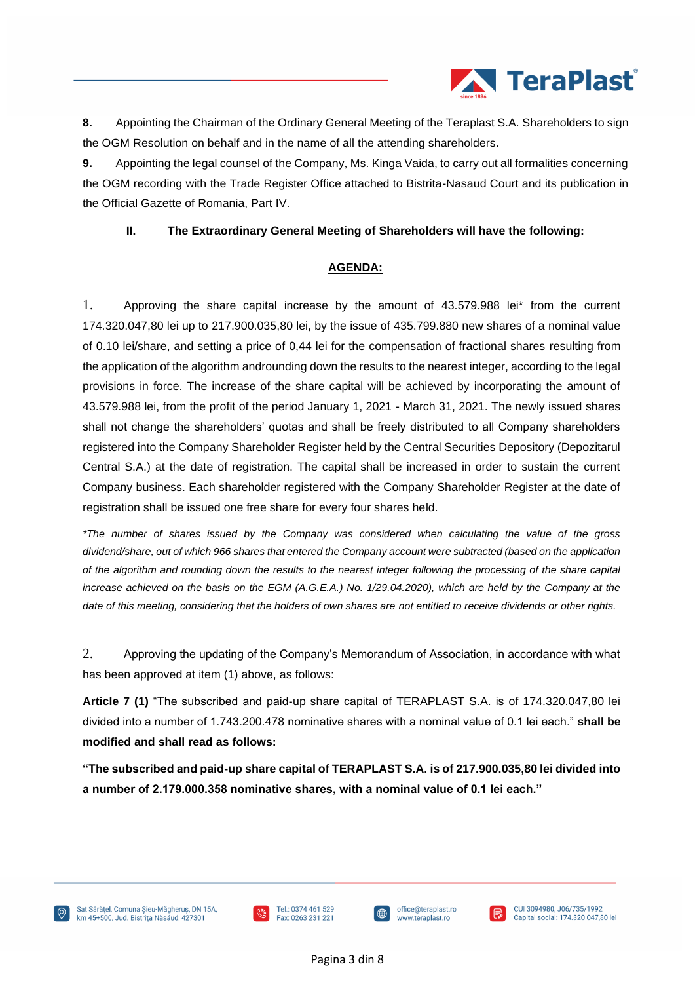

**8.** Appointing the Chairman of the Ordinary General Meeting of the Teraplast S.A. Shareholders to sign the OGM Resolution on behalf and in the name of all the attending shareholders.

**9.** Appointing the legal counsel of the Company, Ms. Kinga Vaida, to carry out all formalities concerning the OGM recording with the Trade Register Office attached to Bistrita-Nasaud Court and its publication in the Official Gazette of Romania, Part IV.

### **II. The Extraordinary General Meeting of Shareholders will have the following:**

### **AGENDA:**

1. Approving the share capital increase by the amount of 43.579.988 lei\* from the current 174.320.047,80 lei up to 217.900.035,80 lei, by the issue of 435.799.880 new shares of a nominal value of 0.10 lei/share, and setting a price of 0,44 lei for the compensation of fractional shares resulting from the application of the algorithm androunding down the results to the nearest integer, according to the legal provisions in force. The increase of the share capital will be achieved by incorporating the amount of 43.579.988 lei, from the profit of the period January 1, 2021 - March 31, 2021. The newly issued shares shall not change the shareholders' quotas and shall be freely distributed to all Company shareholders registered into the Company Shareholder Register held by the Central Securities Depository (Depozitarul Central S.A.) at the date of registration. The capital shall be increased in order to sustain the current Company business. Each shareholder registered with the Company Shareholder Register at the date of registration shall be issued one free share for every four shares held.

*\*The number of shares issued by the Company was considered when calculating the value of the gross dividend/share, out of which 966 shares that entered the Company account were subtracted (based on the application of the algorithm and rounding down the results to the nearest integer following the processing of the share capital increase achieved on the basis on the EGM (A.G.E.A.) No. 1/29.04.2020), which are held by the Company at the date of this meeting, considering that the holders of own shares are not entitled to receive dividends or other rights.*

2. Approving the updating of the Company's Memorandum of Association, in accordance with what has been approved at item (1) above, as follows:

**Article 7 (1)** "The subscribed and paid-up share capital of TERAPLAST S.A. is of 174.320.047,80 lei divided into a number of 1.743.200.478 nominative shares with a nominal value of 0.1 lei each." **shall be modified and shall read as follows:**

**"The subscribed and paid-up share capital of TERAPLAST S.A. is of 217.900.035,80 lei divided into a number of 2.179.000.358 nominative shares, with a nominal value of 0.1 lei each."**





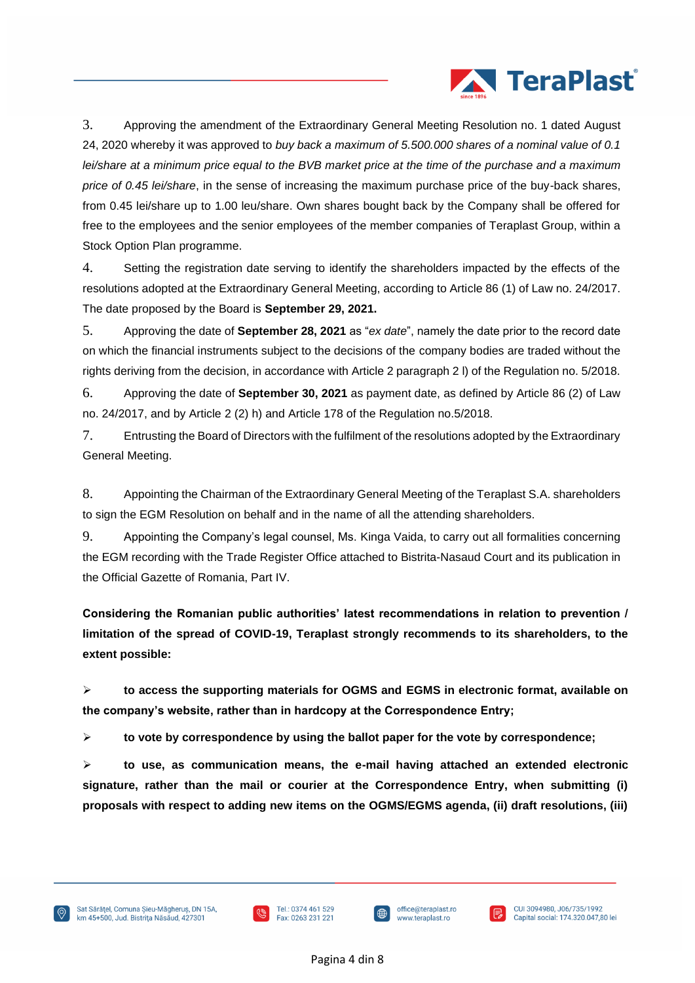

3. Approving the amendment of the Extraordinary General Meeting Resolution no. 1 dated August 24, 2020 whereby it was approved to *buy back a maximum of 5.500.000 shares of a nominal value of 0.1 lei/share at a minimum price equal to the BVB market price at the time of the purchase and a maximum price of 0.45 lei/share*, in the sense of increasing the maximum purchase price of the buy-back shares, from 0.45 lei/share up to 1.00 leu/share. Own shares bought back by the Company shall be offered for free to the employees and the senior employees of the member companies of Teraplast Group, within a Stock Option Plan programme.

4. Setting the registration date serving to identify the shareholders impacted by the effects of the resolutions adopted at the Extraordinary General Meeting, according to Article 86 (1) of Law no. 24/2017. The date proposed by the Board is **September 29, 2021.**

5. Approving the date of **September 28, 2021** as "*ex date*", namely the date prior to the record date on which the financial instruments subject to the decisions of the company bodies are traded without the rights deriving from the decision, in accordance with Article 2 paragraph 2 l) of the Regulation no. 5/2018.

6. Approving the date of **September 30, 2021** as payment date, as defined by Article 86 (2) of Law no. 24/2017, and by Article 2 (2) h) and Article 178 of the Regulation no.5/2018.

7. Entrusting the Board of Directors with the fulfilment of the resolutions adopted by the Extraordinary General Meeting.

8. Appointing the Chairman of the Extraordinary General Meeting of the Teraplast S.A. shareholders to sign the EGM Resolution on behalf and in the name of all the attending shareholders.

9. Appointing the Company's legal counsel, Ms. Kinga Vaida, to carry out all formalities concerning the EGM recording with the Trade Register Office attached to Bistrita-Nasaud Court and its publication in the Official Gazette of Romania, Part IV.

**Considering the Romanian public authorities' latest recommendations in relation to prevention / limitation of the spread of COVID-19, Teraplast strongly recommends to its shareholders, to the extent possible:**

➢ **to access the supporting materials for OGMS and EGMS in electronic format, available on the company's website, rather than in hardcopy at the Correspondence Entry;**

➢ **to vote by correspondence by using the ballot paper for the vote by correspondence;**

➢ **to use, as communication means, the e-mail having attached an extended electronic signature, rather than the mail or courier at the Correspondence Entry, when submitting (i) proposals with respect to adding new items on the OGMS/EGMS agenda, (ii) draft resolutions, (iii)** 





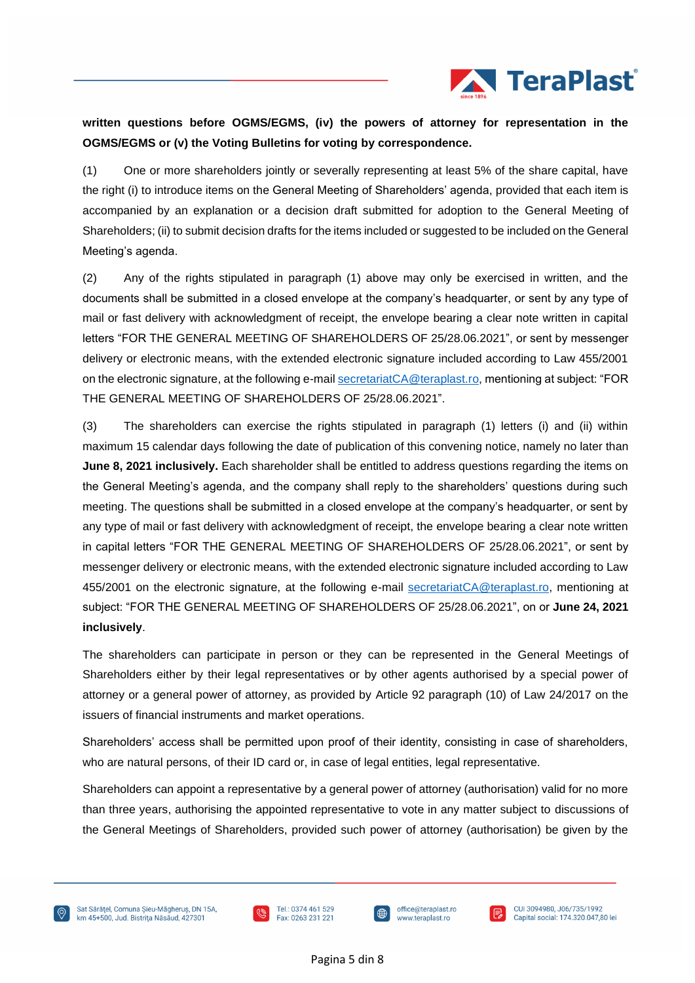

## **written questions before OGMS/EGMS, (iv) the powers of attorney for representation in the OGMS/EGMS or (v) the Voting Bulletins for voting by correspondence.**

(1) One or more shareholders jointly or severally representing at least 5% of the share capital, have the right (i) to introduce items on the General Meeting of Shareholders' agenda, provided that each item is accompanied by an explanation or a decision draft submitted for adoption to the General Meeting of Shareholders; (ii) to submit decision drafts for the items included or suggested to be included on the General Meeting's agenda.

(2) Any of the rights stipulated in paragraph (1) above may only be exercised in written, and the documents shall be submitted in a closed envelope at the company's headquarter, or sent by any type of mail or fast delivery with acknowledgment of receipt, the envelope bearing a clear note written in capital letters "FOR THE GENERAL MEETING OF SHAREHOLDERS OF 25/28.06.2021", or sent by messenger delivery or electronic means, with the extended electronic signature included according to Law 455/2001 on the electronic signature, at the following e-mai[l secretariatCA@teraplast.ro,](mailto:secretariatCA@teraplast.ro) mentioning at subject: "FOR THE GENERAL MEETING OF SHAREHOLDERS OF 25/28.06.2021".

(3) The shareholders can exercise the rights stipulated in paragraph (1) letters (i) and (ii) within maximum 15 calendar days following the date of publication of this convening notice, namely no later than **June 8, 2021 inclusively.** Each shareholder shall be entitled to address questions regarding the items on the General Meeting's agenda, and the company shall reply to the shareholders' questions during such meeting. The questions shall be submitted in a closed envelope at the company's headquarter, or sent by any type of mail or fast delivery with acknowledgment of receipt, the envelope bearing a clear note written in capital letters "FOR THE GENERAL MEETING OF SHAREHOLDERS OF 25/28.06.2021", or sent by messenger delivery or electronic means, with the extended electronic signature included according to Law 455/2001 on the electronic signature, at the following e-mail [secretariatCA@teraplast.ro,](mailto:secretariatCA@teraplast.ro) mentioning at subject: "FOR THE GENERAL MEETING OF SHAREHOLDERS OF 25/28.06.2021", on or **June 24, 2021 inclusively**.

The shareholders can participate in person or they can be represented in the General Meetings of Shareholders either by their legal representatives or by other agents authorised by a special power of attorney or a general power of attorney, as provided by Article 92 paragraph (10) of Law 24/2017 on the issuers of financial instruments and market operations.

Shareholders' access shall be permitted upon proof of their identity, consisting in case of shareholders, who are natural persons, of their ID card or, in case of legal entities, legal representative.

Shareholders can appoint a representative by a general power of attorney (authorisation) valid for no more than three years, authorising the appointed representative to vote in any matter subject to discussions of the General Meetings of Shareholders, provided such power of attorney (authorisation) be given by the







CUI 3094980, J06/735/1992 Capital social: 174.320.047,80 lei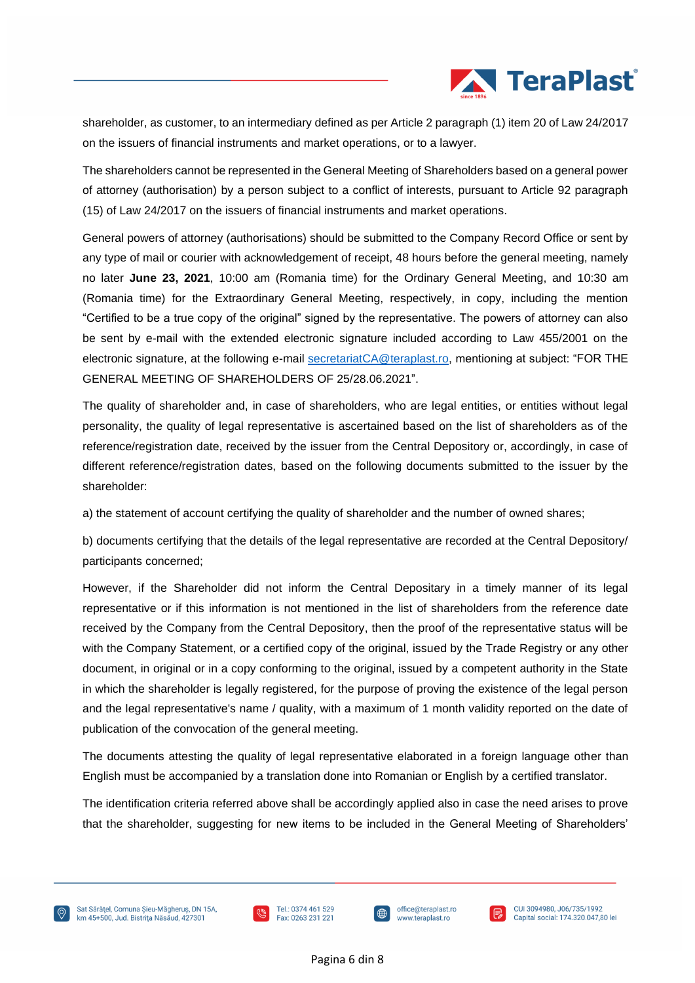

shareholder, as customer, to an intermediary defined as per Article 2 paragraph (1) item 20 of Law 24/2017 on the issuers of financial instruments and market operations, or to a lawyer.

The shareholders cannot be represented in the General Meeting of Shareholders based on a general power of attorney (authorisation) by a person subject to a conflict of interests, pursuant to Article 92 paragraph (15) of Law 24/2017 on the issuers of financial instruments and market operations.

General powers of attorney (authorisations) should be submitted to the Company Record Office or sent by any type of mail or courier with acknowledgement of receipt, 48 hours before the general meeting, namely no later **June 23, 2021**, 10:00 am (Romania time) for the Ordinary General Meeting, and 10:30 am (Romania time) for the Extraordinary General Meeting, respectively, in copy, including the mention "Certified to be a true copy of the original" signed by the representative. The powers of attorney can also be sent by e-mail with the extended electronic signature included according to Law 455/2001 on the electronic signature, at the following e-mail [secretariatCA@teraplast.ro,](mailto:secretariatCA@teraplast.ro) mentioning at subject: "FOR THE GENERAL MEETING OF SHAREHOLDERS OF 25/28.06.2021".

The quality of shareholder and, in case of shareholders, who are legal entities, or entities without legal personality, the quality of legal representative is ascertained based on the list of shareholders as of the reference/registration date, received by the issuer from the Central Depository or, accordingly, in case of different reference/registration dates, based on the following documents submitted to the issuer by the shareholder:

a) the statement of account certifying the quality of shareholder and the number of owned shares;

b) documents certifying that the details of the legal representative are recorded at the Central Depository/ participants concerned;

However, if the Shareholder did not inform the Central Depositary in a timely manner of its legal representative or if this information is not mentioned in the list of shareholders from the reference date received by the Company from the Central Depository, then the proof of the representative status will be with the Company Statement, or a certified copy of the original, issued by the Trade Registry or any other document, in original or in a copy conforming to the original, issued by a competent authority in the State in which the shareholder is legally registered, for the purpose of proving the existence of the legal person and the legal representative's name / quality, with a maximum of 1 month validity reported on the date of publication of the convocation of the general meeting.

The documents attesting the quality of legal representative elaborated in a foreign language other than English must be accompanied by a translation done into Romanian or English by a certified translator.

The identification criteria referred above shall be accordingly applied also in case the need arises to prove that the shareholder, suggesting for new items to be included in the General Meeting of Shareholders'





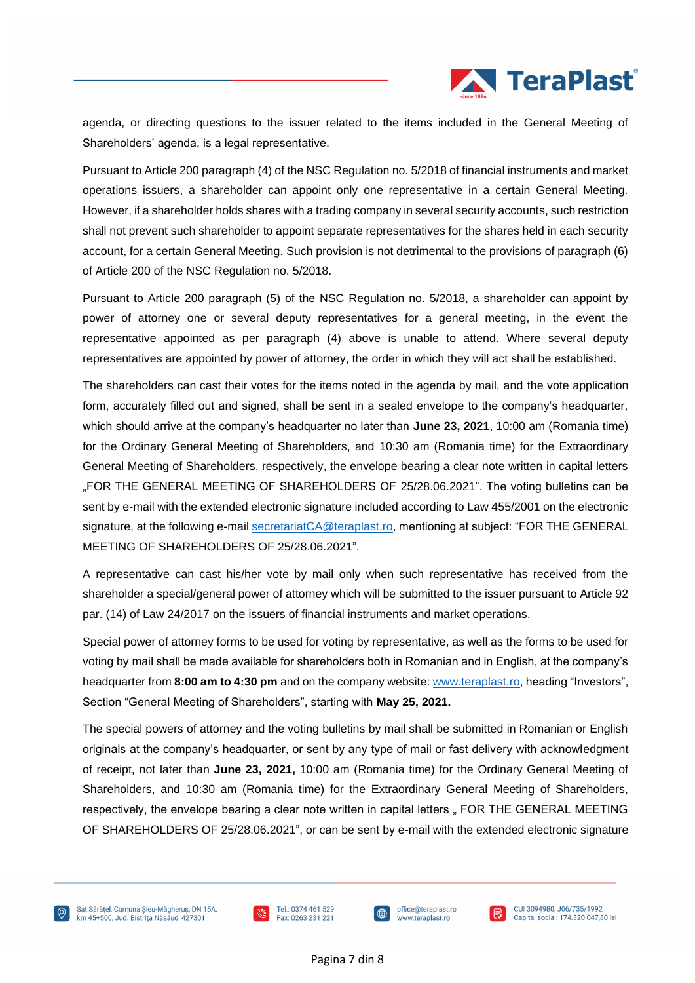

agenda, or directing questions to the issuer related to the items included in the General Meeting of Shareholders' agenda, is a legal representative.

Pursuant to Article 200 paragraph (4) of the NSC Regulation no. 5/2018 of financial instruments and market operations issuers, a shareholder can appoint only one representative in a certain General Meeting. However, if a shareholder holds shares with a trading company in several security accounts, such restriction shall not prevent such shareholder to appoint separate representatives for the shares held in each security account, for a certain General Meeting. Such provision is not detrimental to the provisions of paragraph (6) of Article 200 of the NSC Regulation no. 5/2018.

Pursuant to Article 200 paragraph (5) of the NSC Regulation no. 5/2018, a shareholder can appoint by power of attorney one or several deputy representatives for a general meeting, in the event the representative appointed as per paragraph (4) above is unable to attend. Where several deputy representatives are appointed by power of attorney, the order in which they will act shall be established.

The shareholders can cast their votes for the items noted in the agenda by mail, and the vote application form, accurately filled out and signed, shall be sent in a sealed envelope to the company's headquarter, which should arrive at the company's headquarter no later than **June 23, 2021**, 10:00 am (Romania time) for the Ordinary General Meeting of Shareholders, and 10:30 am (Romania time) for the Extraordinary General Meeting of Shareholders, respectively, the envelope bearing a clear note written in capital letters "FOR THE GENERAL MEETING OF SHAREHOLDERS OF 25/28.06.2021". The voting bulletins can be sent by e-mail with the extended electronic signature included according to Law 455/2001 on the electronic signature, at the following e-mail [secretariatCA@teraplast.ro,](mailto:secretariatCA@teraplast.ro) mentioning at subject: "FOR THE GENERAL MEETING OF SHAREHOLDERS OF 25/28.06.2021".

A representative can cast his/her vote by mail only when such representative has received from the shareholder a special/general power of attorney which will be submitted to the issuer pursuant to Article 92 par. (14) of Law 24/2017 on the issuers of financial instruments and market operations.

Special power of attorney forms to be used for voting by representative, as well as the forms to be used for voting by mail shall be made available for shareholders both in Romanian and in English, at the company's headquarter from **8:00 am to 4:30 pm** and on the company website: [www.teraplast.ro,](http://www.teraplast.ro/) heading "Investors", Section "General Meeting of Shareholders", starting with **May 25, 2021.**

The special powers of attorney and the voting bulletins by mail shall be submitted in Romanian or English originals at the company's headquarter, or sent by any type of mail or fast delivery with acknowledgment of receipt, not later than **June 23, 2021,** 10:00 am (Romania time) for the Ordinary General Meeting of Shareholders, and 10:30 am (Romania time) for the Extraordinary General Meeting of Shareholders, respectively, the envelope bearing a clear note written in capital letters " FOR THE GENERAL MEETING OF SHAREHOLDERS OF 25/28.06.2021", or can be sent by e-mail with the extended electronic signature